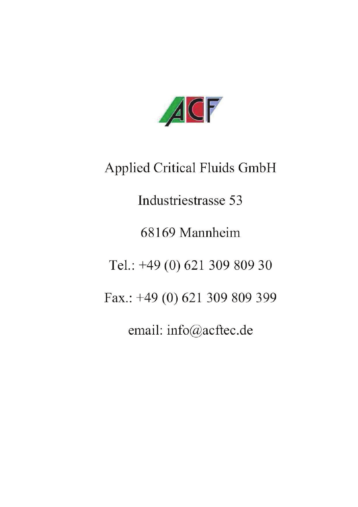

**Applied Critical Fluids GmbH** 

Industriestrasse 53

68169 Mannheim

Tel.: +49 (0) 621 309 809 30

Fax.: +49 (0) 621 309 809 399

email: info@acftec.de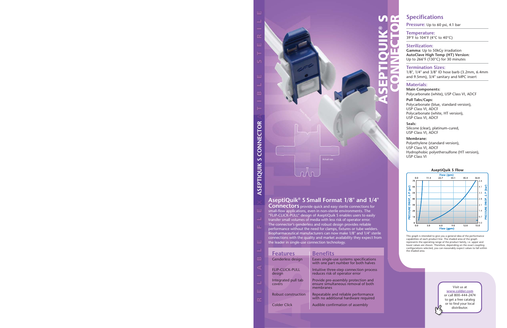ASEPTIQUIK® S CONNECTOR

# **AseptiQuik® S Small Format 1/8" and 1/4"**

Actual size

**Connectors** provide quick and easy sterile connections for small-flow applications, even in non-sterile environments. The "FLIP-CLICK-PULL" design of AseptiQuik S enables users to easily transfer small volumes of media with less risk of operator error. The connector's genderless and robust design provides reliable performance without the need for clamps, fixtures or tube welders. Biopharmaceutical manufacturers can now make 1/8" and 1/4" sterile connections with the quality and market availability they expect from the leader in single-use connection technology.

| <b>Features</b>                  | Benefits                                                                                |
|----------------------------------|-----------------------------------------------------------------------------------------|
| Genderless design                | Eases single-use systems specifications<br>with one part number for both halves         |
| <b>FLIP-CLICK-PULL</b><br>design | Intuitive three-step connection process<br>reduces risk of operator error               |
| Integrated pull tab<br>covers    | Provide pre-assembly protection and<br>ensure simultaneous removal of both<br>membranes |
| Robust construction              | Repeatable and reliable performance<br>with no additional hardware required             |
| Colder Click                     | Audible confirmation of assembly                                                        |
|                                  |                                                                                         |

# **Specifications**

**Pressure:** Up to 60 psi, 4.1 bar

**Temperature:**  39°F to 104°F (4°C to 40°C)

### **Sterilization:**

**Gamma:** Up to 50kGy irradiation **AutoClave High Temp (HT) Version:**  Up to 266°F (130°C) for 30 minutes

### **Termination Sizes:**

1/8", 1/4" and 3/8" ID hose barb (3.2mm, 6.4mm and 9.5mm), 3/4" sanitary and MPC insert

### **Materials:**

**Main Components:**  Polycarbonate (white), USP Class VI, ADCF

**Pull Tabs/Caps:**  Polycarbonate (blue, standard version), USP Class VI, ADCF Polycarbonate (white, HT version), USP Class VI, ADCF

### **Seals:**

Silicone (clear), platinum-cured, USP Class VI, ADCF

### **Membrane:**

Polyethylene (standard version), USP Class VI, ADCF Hydrophobic polyethersulfone (HT version), USP Class VI

### **AseptiQuik S Flow**



This graph is intended to give you a general idea of the performance capabilities of each product line. The shaded area of the graph represents the operating range of the product family, i.e. upper and lower values are shown. Therefore, depending on the exact coupling configurations selected, you can reasonably expect values to fall within the shaded area.

#### Visit us at **www.colder.com** or call 800-444-2474 to get a free catalog or to find your local distributor.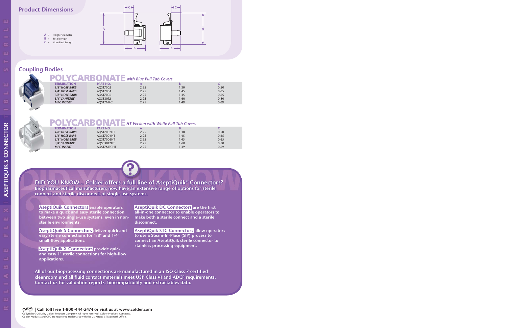

## **Coupling Bodies**

# **POLYCARBONATE** with Blue Pull Tab Covers

| <b>TERMINATION</b> | <b>PART NO.</b> |      |     |      |  |
|--------------------|-----------------|------|-----|------|--|
| 1/8" HOSE BARB     | AQS17002        | 2.25 | .30 | 0.50 |  |
| 1/4" HOSE BARB     | AOS17004        | 2.25 | .45 | 0.65 |  |
| 3/8" HOSE BARB     | AOS17006        | 2.25 | .45 | 0.65 |  |
| 3/4" SANITARY      | AQS33012        | 2.25 | .60 | 0.80 |  |
| <b>MPC INSERT</b>  | AQS17MPC        | 2.25 | .49 | 0.69 |  |
|                    |                 |      |     |      |  |



# *HT Version with White Pull Tab Covers*

| <b>TERMINATION</b> | <b>PART NO.</b> |      |      |      |  |
|--------------------|-----------------|------|------|------|--|
| 1/8" HOSE BARB     | AOS17002HT      | 2.25 | 1.30 | 0.50 |  |
| 1/4" HOSE BARB     | AOS17004HT      | 2.25 | 1.45 | 0.65 |  |
| 3/8" HOSE BARB     | AOS17006HT      | 2.25 | 1.45 | 0.65 |  |
| 3/4" SANITARY      | AOS33012HT      | 2.25 | 1.60 | 0.80 |  |
| <b>MPC INSERT</b>  | AOS17MPCHT      | 2.25 | l.49 | 0.69 |  |
|                    |                 |      |      |      |  |



## **DID YOU KNOW... Colder offers a full line of AseptiQuik® Connectors? Biopharmaceutical manufacturers now have an extensive range of options for sterile connect and sterile disconnect of single-use systems.**

**AseptiQuik Connectors enable operators to make a quick and easy sterile connection between two single-use systems, even in nonsterile environments.** 

**AseptiQuik S Connectors deliver quick and easy sterile connections for 1/8" and 1/4" small-flow applications.**

**AseptiQuik X Connectors provide quick and easy 1" sterile connections for high-flow applications.** 

**AseptiQuik DC Connectors are the first all-in-one connector to enable operators to make both a sterile connect and a sterile disconnect.**

**AseptiQuik STC Connectors allow operators to use a Steam-In-Place (SIP) process to connect an AseptiQuik sterile connector to stainless processing equipment.**

**All of our bioprocessing connections are manufactured in an ISO Class 7 certified cleanroom and all fluid contact materials meet USP Class VI and ADCF requirements. Contact us for validation reports, biocompatibility and extractables data.**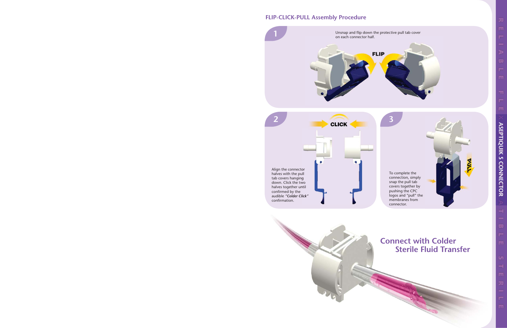## **FLIP-CLICK-PULL Assembly Procedure**





# **Connect with Colder Sterile Fluid Transfer**

プ